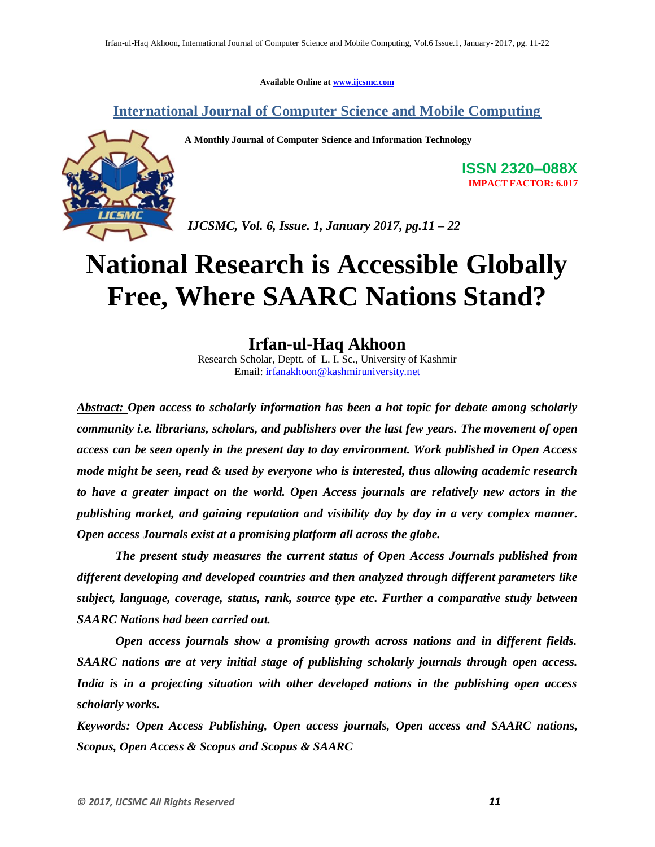**Available Online at www.ijcsmc.com**

**International Journal of Computer Science and Mobile Computing**

**A Monthly Journal of Computer Science and Information Technology**



**ISSN 2320–088X IMPACT FACTOR: 6.017**

*IJCSMC, Vol. 6, Issue. 1, January 2017, pg.11 – 22*

# **National Research is Accessible Globally Free, Where SAARC Nations Stand?**

# **Irfan-ul-Haq Akhoon**

Research Scholar, Deptt. of L. I. Sc., University of Kashmir Email: irfanakhoon@kashmiruniversity.net

*Abstract: Open access to scholarly information has been a hot topic for debate among scholarly community i.e. librarians, scholars, and publishers over the last few years. The movement of open access can be seen openly in the present day to day environment. Work published in Open Access mode might be seen, read & used by everyone who is interested, thus allowing academic research to have a greater impact on the world. Open Access journals are relatively new actors in the publishing market, and gaining reputation and visibility day by day in a very complex manner. Open access Journals exist at a promising platform all across the globe.*

*The present study measures the current status of Open Access Journals published from different developing and developed countries and then analyzed through different parameters like subject, language, coverage, status, rank, source type etc. Further a comparative study between SAARC Nations had been carried out.*

*Open access journals show a promising growth across nations and in different fields. SAARC nations are at very initial stage of publishing scholarly journals through open access. India is in a projecting situation with other developed nations in the publishing open access scholarly works.*

*Keywords: Open Access Publishing, Open access journals, Open access and SAARC nations, Scopus, Open Access & Scopus and Scopus & SAARC*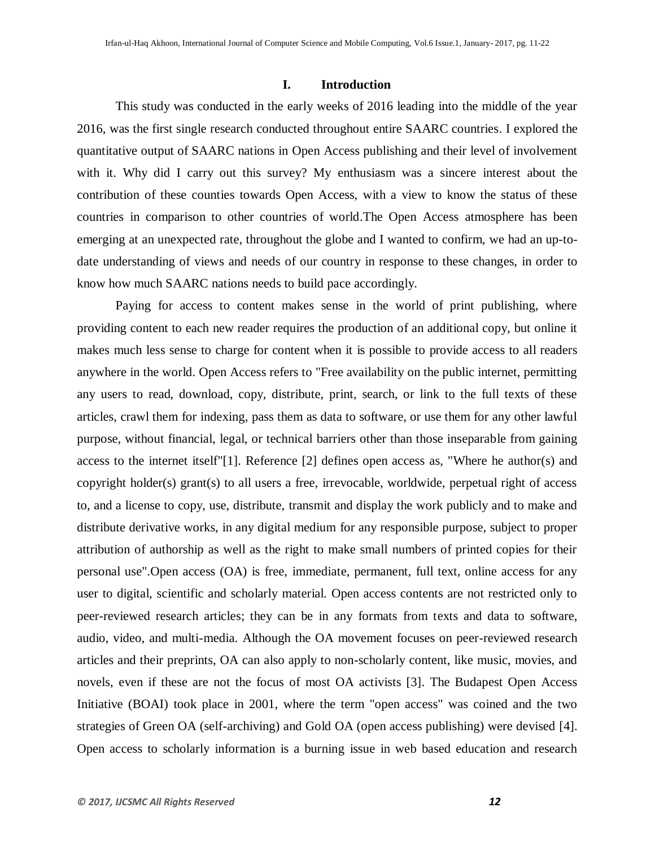### **I. Introduction**

This study was conducted in the early weeks of 2016 leading into the middle of the year 2016, was the first single research conducted throughout entire SAARC countries. I explored the quantitative output of SAARC nations in Open Access publishing and their level of involvement with it. Why did I carry out this survey? My enthusiasm was a sincere interest about the contribution of these counties towards Open Access, with a view to know the status of these countries in comparison to other countries of world.The Open Access atmosphere has been emerging at an unexpected rate, throughout the globe and I wanted to confirm, we had an up-todate understanding of views and needs of our country in response to these changes, in order to know how much SAARC nations needs to build pace accordingly.

Paying for access to content makes sense in the world of print publishing, where providing content to each new reader requires the production of an additional copy, but online it makes much less sense to charge for content when it is possible to provide access to all readers anywhere in the world. Open Access refers to "Free availability on the public internet, permitting any users to read, download, copy, distribute, print, search, or link to the full texts of these articles, crawl them for indexing, pass them as data to software, or use them for any other lawful purpose, without financial, legal, or technical barriers other than those inseparable from gaining access to the internet itself"[1]. Reference [2] defines open access as, "Where he author(s) and copyright holder(s) grant(s) to all users a free, irrevocable, worldwide, perpetual right of access to, and a license to copy, use, distribute, transmit and display the work publicly and to make and distribute derivative works, in any digital medium for any responsible purpose, subject to proper attribution of authorship as well as the right to make small numbers of printed copies for their personal use".Open access (OA) is free, immediate, permanent, full text, online access for any user to digital, scientific and scholarly material. Open access contents are not restricted only to peer-reviewed research articles; they can be in any formats from texts and data to software, audio, video, and multi-media. Although the OA movement focuses on peer-reviewed research articles and their preprints, OA can also apply to non-scholarly content, like music, movies, and novels, even if these are not the focus of most OA activists [3]. The Budapest Open Access Initiative (BOAI) took place in 2001, where the term "open access" was coined and the two strategies of Green OA (self-archiving) and Gold OA (open access publishing) were devised [4]. Open access to scholarly information is a burning issue in web based education and research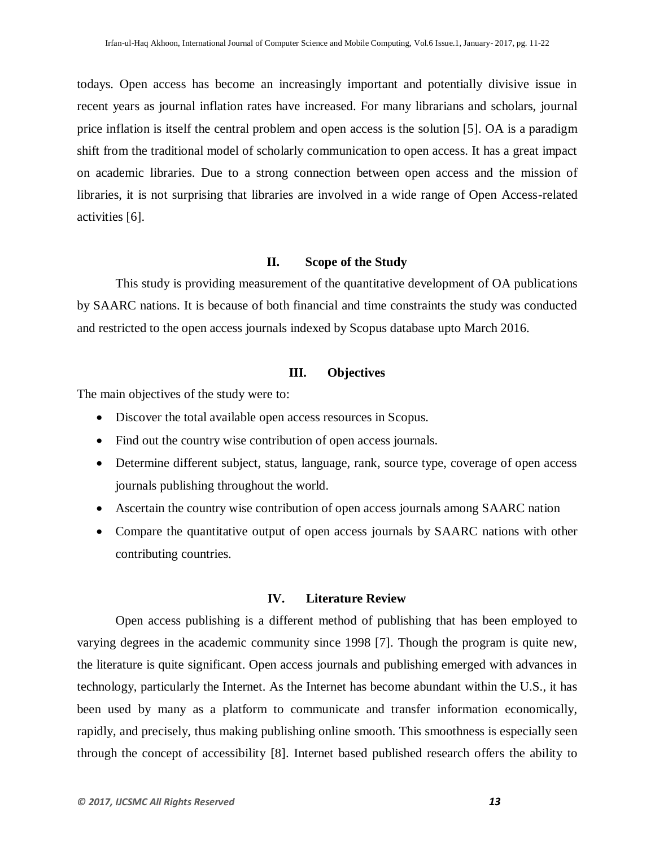todays. Open access has become an increasingly important and potentially divisive issue in recent years as journal inflation rates have increased. For many librarians and scholars, journal price inflation is itself the central problem and open access is the solution [5]. OA is a paradigm shift from the traditional model of scholarly communication to open access. It has a great impact on academic libraries. Due to a strong connection between open access and the mission of libraries, it is not surprising that libraries are involved in a wide range of Open Access-related activities [6].

#### **II. Scope of the Study**

This study is providing measurement of the quantitative development of OA publications by SAARC nations. It is because of both financial and time constraints the study was conducted and restricted to the open access journals indexed by Scopus database upto March 2016.

# **III. Objectives**

The main objectives of the study were to:

- Discover the total available open access resources in Scopus.
- Find out the country wise contribution of open access journals.
- Determine different subject, status, language, rank, source type, coverage of open access journals publishing throughout the world.
- Ascertain the country wise contribution of open access journals among SAARC nation
- Compare the quantitative output of open access journals by SAARC nations with other contributing countries.

### **IV. Literature Review**

Open access publishing is a different method of publishing that has been employed to varying degrees in the academic community since 1998 [7]. Though the program is quite new, the literature is quite significant. Open access journals and publishing emerged with advances in technology, particularly the Internet. As the Internet has become abundant within the U.S., it has been used by many as a platform to communicate and transfer information economically, rapidly, and precisely, thus making publishing online smooth. This smoothness is especially seen through the concept of accessibility [8]. Internet based published research offers the ability to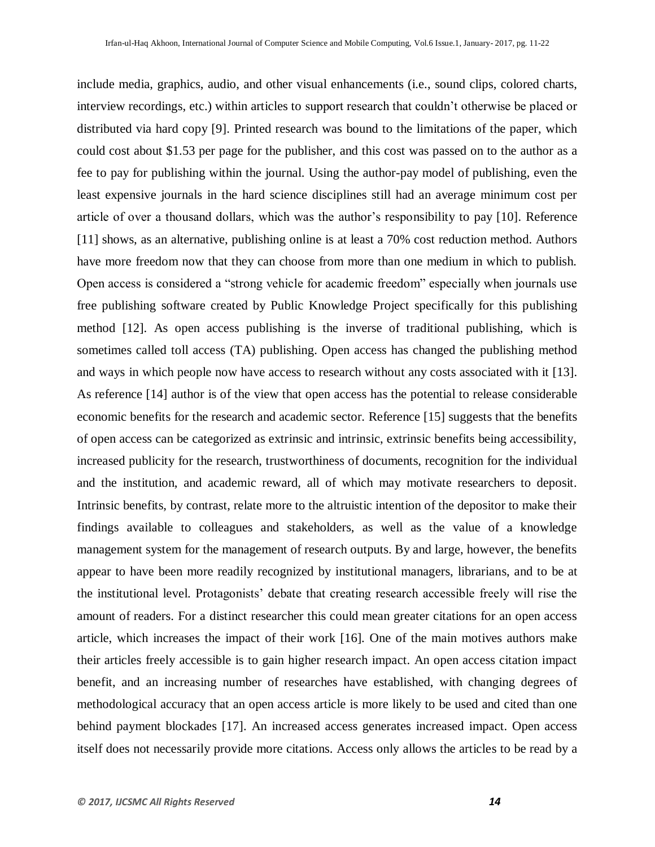include media, graphics, audio, and other visual enhancements (i.e., sound clips, colored charts, interview recordings, etc.) within articles to support research that couldn"t otherwise be placed or distributed via hard copy [9]. Printed research was bound to the limitations of the paper, which could cost about \$1.53 per page for the publisher, and this cost was passed on to the author as a fee to pay for publishing within the journal. Using the author-pay model of publishing, even the least expensive journals in the hard science disciplines still had an average minimum cost per article of over a thousand dollars, which was the author"s responsibility to pay [10]. Reference [11] shows, as an alternative, publishing online is at least a 70% cost reduction method. Authors have more freedom now that they can choose from more than one medium in which to publish. Open access is considered a "strong vehicle for academic freedom" especially when journals use free publishing software created by Public Knowledge Project specifically for this publishing method [12]. As open access publishing is the inverse of traditional publishing, which is sometimes called toll access (TA) publishing. Open access has changed the publishing method and ways in which people now have access to research without any costs associated with it [13]. As reference [14] author is of the view that open access has the potential to release considerable economic benefits for the research and academic sector. Reference [15] suggests that the benefits of open access can be categorized as extrinsic and intrinsic, extrinsic benefits being accessibility, increased publicity for the research, trustworthiness of documents, recognition for the individual and the institution, and academic reward, all of which may motivate researchers to deposit. Intrinsic benefits, by contrast, relate more to the altruistic intention of the depositor to make their findings available to colleagues and stakeholders, as well as the value of a knowledge management system for the management of research outputs. By and large, however, the benefits appear to have been more readily recognized by institutional managers, librarians, and to be at the institutional level. Protagonists' debate that creating research accessible freely will rise the amount of readers. For a distinct researcher this could mean greater citations for an open access article, which increases the impact of their work [16]. One of the main motives authors make their articles freely accessible is to gain higher research impact. An open access citation impact benefit, and an increasing number of researches have established, with changing degrees of methodological accuracy that an open access article is more likely to be used and cited than one behind payment blockades [17]. An increased access generates increased impact. Open access itself does not necessarily provide more citations. Access only allows the articles to be read by a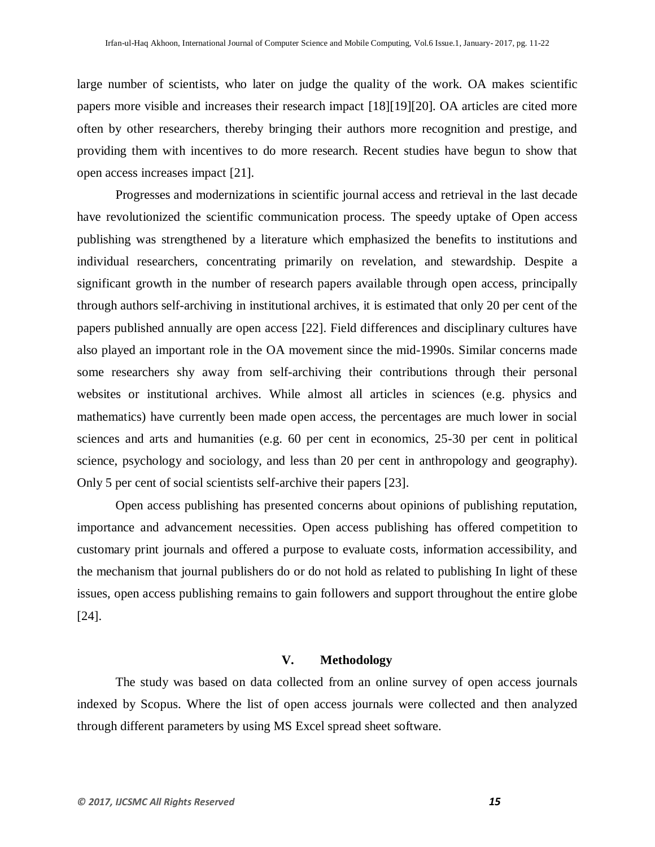large number of scientists, who later on judge the quality of the work. OA makes scientific papers more visible and increases their research impact [18][19][20]. OA articles are cited more often by other researchers, thereby bringing their authors more recognition and prestige, and providing them with incentives to do more research. Recent studies have begun to show that open access increases impact [21].

Progresses and modernizations in scientific journal access and retrieval in the last decade have revolutionized the scientific communication process. The speedy uptake of Open access publishing was strengthened by a literature which emphasized the benefits to institutions and individual researchers, concentrating primarily on revelation, and stewardship. Despite a significant growth in the number of research papers available through open access, principally through authors self-archiving in institutional archives, it is estimated that only 20 per cent of the papers published annually are open access [22]. Field differences and disciplinary cultures have also played an important role in the OA movement since the mid-1990s. Similar concerns made some researchers shy away from self-archiving their contributions through their personal websites or institutional archives. While almost all articles in sciences (e.g. physics and mathematics) have currently been made open access, the percentages are much lower in social sciences and arts and humanities (e.g. 60 per cent in economics, 25-30 per cent in political science, psychology and sociology, and less than 20 per cent in anthropology and geography). Only 5 per cent of social scientists self-archive their papers [23].

Open access publishing has presented concerns about opinions of publishing reputation, importance and advancement necessities. Open access publishing has offered competition to customary print journals and offered a purpose to evaluate costs, information accessibility, and the mechanism that journal publishers do or do not hold as related to publishing In light of these issues, open access publishing remains to gain followers and support throughout the entire globe [24].

# **V. Methodology**

The study was based on data collected from an online survey of open access journals indexed by Scopus. Where the list of open access journals were collected and then analyzed through different parameters by using MS Excel spread sheet software.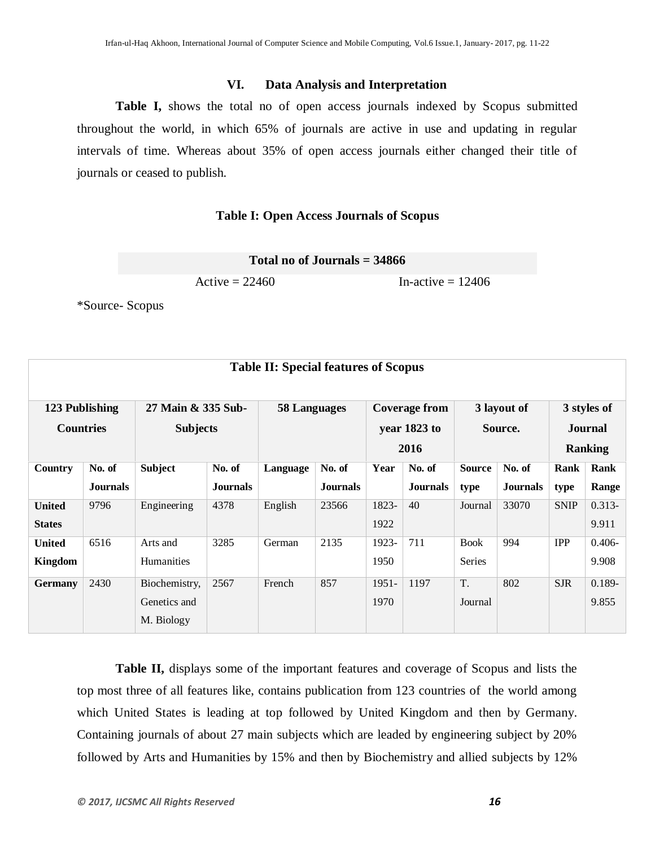## **VI. Data Analysis and Interpretation**

**Table I,** shows the total no of open access journals indexed by Scopus submitted throughout the world, in which 65% of journals are active in use and updating in regular intervals of time. Whereas about 35% of open access journals either changed their title of journals or ceased to publish.

### **Table I: Open Access Journals of Scopus**

|  | Total no of Journals $=$ 34866 |  |
|--|--------------------------------|--|
|  |                                |  |

 $\text{Active} = 22460$  In-active = 12406

\*Source- Scopus

| <b>Table II: Special features of Scopus</b> |                 |                                       |                 |                     |                 |          |                                              |               |                        |             |                                                 |
|---------------------------------------------|-----------------|---------------------------------------|-----------------|---------------------|-----------------|----------|----------------------------------------------|---------------|------------------------|-------------|-------------------------------------------------|
| 123 Publishing<br><b>Countries</b>          |                 | 27 Main & 335 Sub-<br><b>Subjects</b> |                 | <b>58 Languages</b> |                 |          | <b>Coverage from</b><br>year 1823 to<br>2016 |               | 3 layout of<br>Source. |             | 3 styles of<br><b>Journal</b><br><b>Ranking</b> |
| <b>Country</b>                              | No. of          | <b>Subject</b>                        | No. of          | Language            | No. of          | Year     | No. of                                       | <b>Source</b> | No. of                 | Rank        | Rank                                            |
|                                             | <b>Journals</b> |                                       | <b>Journals</b> |                     | <b>Journals</b> |          | <b>Journals</b>                              | type          | <b>Journals</b>        | type        | Range                                           |
| <b>United</b>                               | 9796            | Engineering                           | 4378            | English             | 23566           | 1823-    | 40                                           | Journal       | 33070                  | <b>SNIP</b> | $0.313 -$                                       |
| <b>States</b>                               |                 |                                       |                 |                     |                 | 1922     |                                              |               |                        |             | 9.911                                           |
| <b>United</b>                               | 6516            | Arts and                              | 3285            | German              | 2135            | 1923-    | 711                                          | <b>Book</b>   | 994                    | <b>IPP</b>  | $0.406 -$                                       |
| Kingdom                                     |                 | <b>Humanities</b>                     |                 |                     |                 | 1950     |                                              | Series        |                        |             | 9.908                                           |
| <b>Germany</b>                              | 2430            | Biochemistry,                         | 2567            | French              | 857             | $1951 -$ | 1197                                         | T.            | 802                    | <b>SJR</b>  | $0.189 -$                                       |
|                                             |                 | Genetics and                          |                 |                     |                 | 1970     |                                              | Journal       |                        |             | 9.855                                           |
|                                             |                 | M. Biology                            |                 |                     |                 |          |                                              |               |                        |             |                                                 |

**Table II,** displays some of the important features and coverage of Scopus and lists the top most three of all features like, contains publication from 123 countries of the world among which United States is leading at top followed by United Kingdom and then by Germany. Containing journals of about 27 main subjects which are leaded by engineering subject by 20% followed by Arts and Humanities by 15% and then by Biochemistry and allied subjects by 12%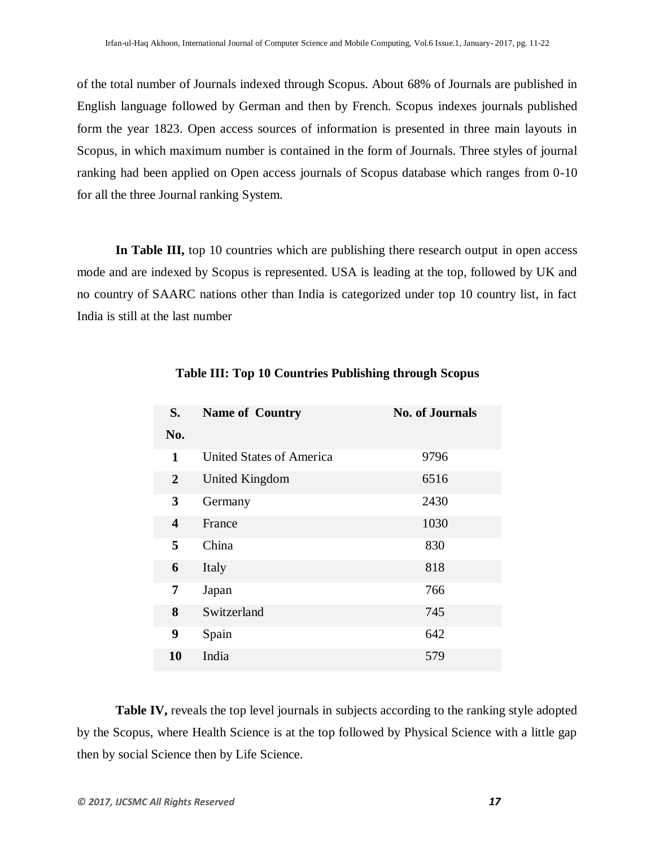of the total number of Journals indexed through Scopus. About 68% of Journals are published in English language followed by German and then by French. Scopus indexes journals published form the year 1823. Open access sources of information is presented in three main layouts in Scopus, in which maximum number is contained in the form of Journals. Three styles of journal ranking had been applied on Open access journals of Scopus database which ranges from 0-10 for all the three Journal ranking System.

**In Table III,** top 10 countries which are publishing there research output in open access mode and are indexed by Scopus is represented. USA is leading at the top, followed by UK and no country of SAARC nations other than India is categorized under top 10 country list, in fact India is still at the last number

| S.                      | <b>Name of Country</b>          | <b>No. of Journals</b> |
|-------------------------|---------------------------------|------------------------|
| No.                     |                                 |                        |
| 1                       | <b>United States of America</b> | 9796                   |
| $\overline{2}$          | United Kingdom                  | 6516                   |
| 3                       | Germany                         | 2430                   |
| $\overline{\mathbf{4}}$ | France                          | 1030                   |
| 5                       | China                           | 830                    |
| 6                       | Italy                           | 818                    |
| 7                       | Japan                           | 766                    |
| 8                       | Switzerland                     | 745                    |
| 9                       | Spain                           | 642                    |
| 10                      | India                           | 579                    |

# **Table III: Top 10 Countries Publishing through Scopus**

**Table IV,** reveals the top level journals in subjects according to the ranking style adopted by the Scopus, where Health Science is at the top followed by Physical Science with a little gap then by social Science then by Life Science.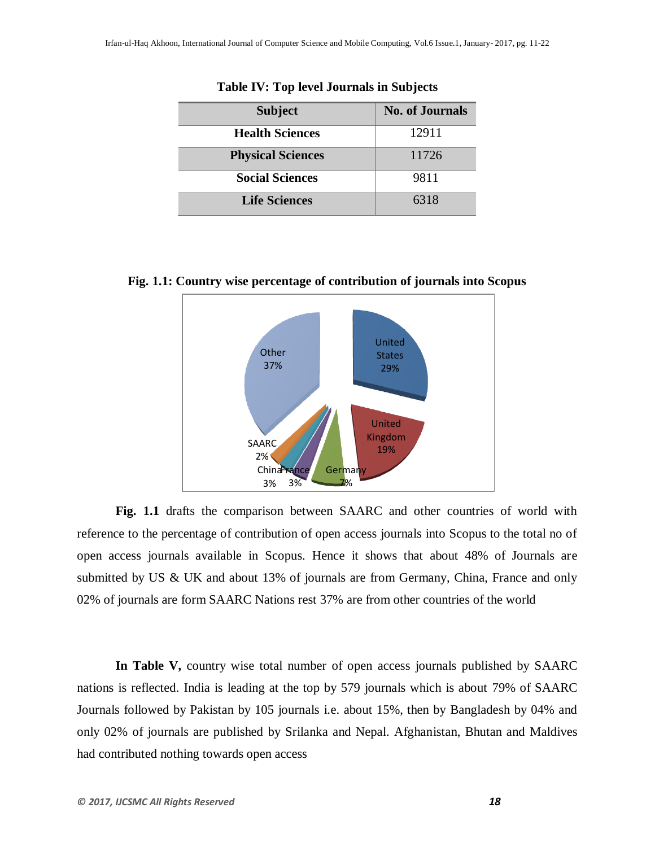| <b>Subject</b>           | <b>No. of Journals</b> |
|--------------------------|------------------------|
| <b>Health Sciences</b>   | 12911                  |
| <b>Physical Sciences</b> | 11726                  |
| <b>Social Sciences</b>   | 9811                   |
| <b>Life Sciences</b>     | 6318                   |

**Table IV: Top level Journals in Subjects**

**Fig. 1.1: Country wise percentage of contribution of journals into Scopus**



**Fig. 1.1** drafts the comparison between SAARC and other countries of world with reference to the percentage of contribution of open access journals into Scopus to the total no of open access journals available in Scopus. Hence it shows that about 48% of Journals are submitted by US & UK and about 13% of journals are from Germany, China, France and only 02% of journals are form SAARC Nations rest 37% are from other countries of the world

**In Table V,** country wise total number of open access journals published by SAARC nations is reflected. India is leading at the top by 579 journals which is about 79% of SAARC Journals followed by Pakistan by 105 journals i.e. about 15%, then by Bangladesh by 04% and only 02% of journals are published by Srilanka and Nepal. Afghanistan, Bhutan and Maldives had contributed nothing towards open access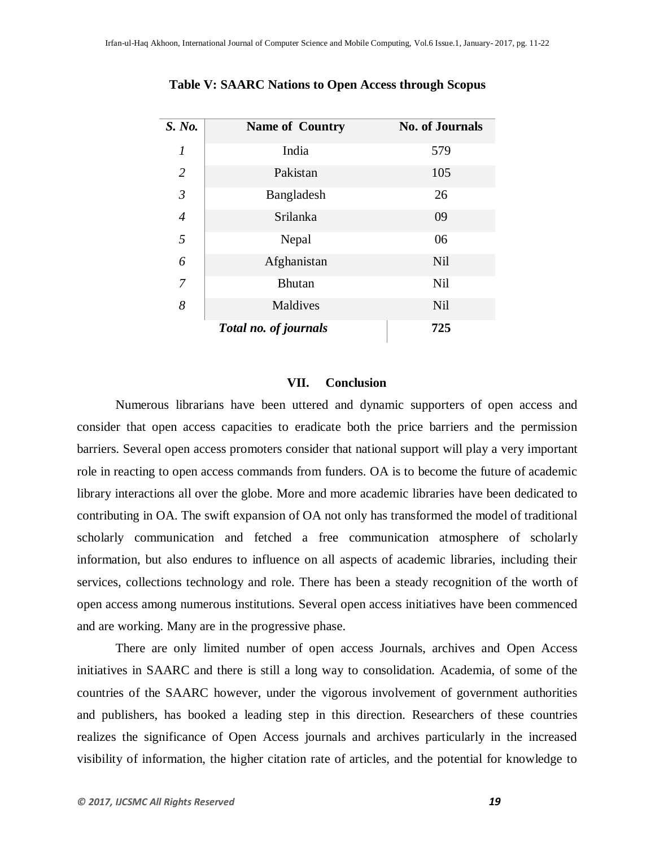| S. No.         | <b>Name of Country</b>       | <b>No. of Journals</b> |
|----------------|------------------------------|------------------------|
| $\overline{I}$ | India                        | 579                    |
| $\overline{2}$ | Pakistan                     | 105                    |
| $\overline{3}$ | Bangladesh                   | 26                     |
| $\overline{4}$ | Srilanka                     | 09                     |
| 5              | Nepal                        | 06                     |
| 6              | Afghanistan                  | Nil                    |
| $\overline{7}$ | <b>Bhutan</b>                | Nil                    |
| 8              | Maldives                     | Nil                    |
|                | <b>Total no. of journals</b> | 725                    |

**Table V: SAARC Nations to Open Access through Scopus**

#### **VII. Conclusion**

Numerous librarians have been uttered and dynamic supporters of open access and consider that open access capacities to eradicate both the price barriers and the permission barriers. Several open access promoters consider that national support will play a very important role in reacting to open access commands from funders. OA is to become the future of academic library interactions all over the globe. More and more academic libraries have been dedicated to contributing in OA. The swift expansion of OA not only has transformed the model of traditional scholarly communication and fetched a free communication atmosphere of scholarly information, but also endures to influence on all aspects of academic libraries, including their services, collections technology and role. There has been a steady recognition of the worth of open access among numerous institutions. Several open access initiatives have been commenced and are working. Many are in the progressive phase.

There are only limited number of open access Journals, archives and Open Access initiatives in SAARC and there is still a long way to consolidation. Academia, of some of the countries of the SAARC however, under the vigorous involvement of government authorities and publishers, has booked a leading step in this direction. Researchers of these countries realizes the significance of Open Access journals and archives particularly in the increased visibility of information, the higher citation rate of articles, and the potential for knowledge to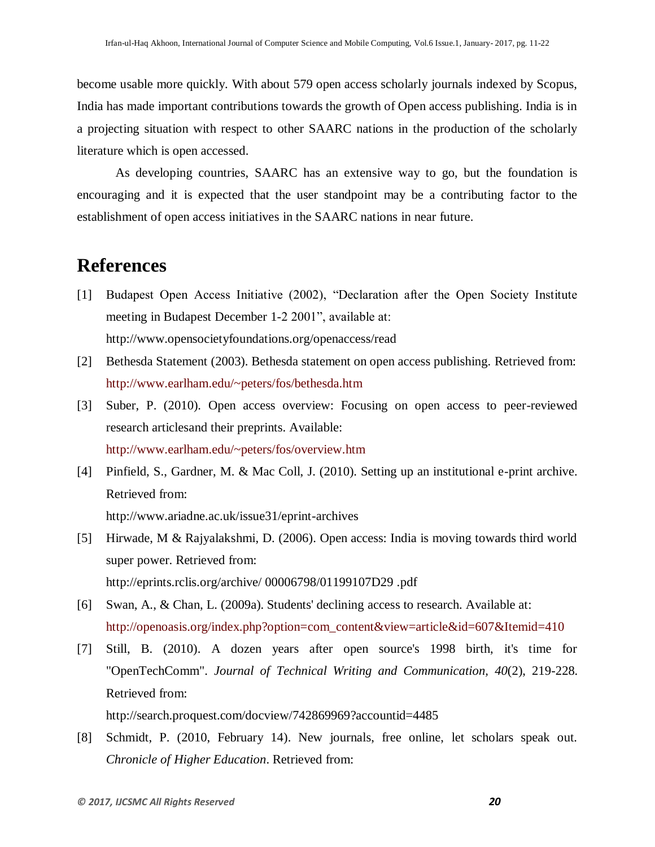become usable more quickly. With about 579 open access scholarly journals indexed by Scopus, India has made important contributions towards the growth of Open access publishing. India is in a projecting situation with respect to other SAARC nations in the production of the scholarly literature which is open accessed.

As developing countries, SAARC has an extensive way to go, but the foundation is encouraging and it is expected that the user standpoint may be a contributing factor to the establishment of open access initiatives in the SAARC nations in near future.

# **References**

- [1] Budapest Open Access Initiative (2002), "Declaration after the Open Society Institute meeting in Budapest December 1-2 2001", available at: http://www.opensocietyfoundations.org/openaccess/read
- [2] Bethesda Statement (2003). Bethesda statement on open access publishing. Retrieved from: http://www.earlham.edu/~peters/fos/bethesda.htm
- [3] Suber, P. (2010). Open access overview: Focusing on open access to peer-reviewed research articlesand their preprints. Available: http://www.earlham.edu/~peters/fos/overview.htm
- [4] Pinfield, S., Gardner, M. & Mac Coll, J. (2010). Setting up an institutional e-print archive. Retrieved from: http://www.ariadne.ac.uk/issue31/eprint-archives
- [5] Hirwade, M & Rajyalakshmi, D. (2006). Open access: India is moving towards third world super power. Retrieved from: http://eprints.rclis.org/archive/ 00006798/01199107D29 .pdf
- [6] Swan, A., & Chan, L. (2009a). Students' declining access to research. Available at: http://openoasis.org/index.php?option=com\_content&view=article&id=607&Itemid=410
- [7] Still, B. (2010). A dozen years after open source's 1998 birth, it's time for "OpenTechComm". *Journal of Technical Writing and Communication, 40*(2), 219-228. Retrieved from: http://search.proquest.com/docview/742869969?accountid=4485
- [8] Schmidt, P. (2010, February 14). New journals, free online, let scholars speak out. *Chronicle of Higher Education*. Retrieved from: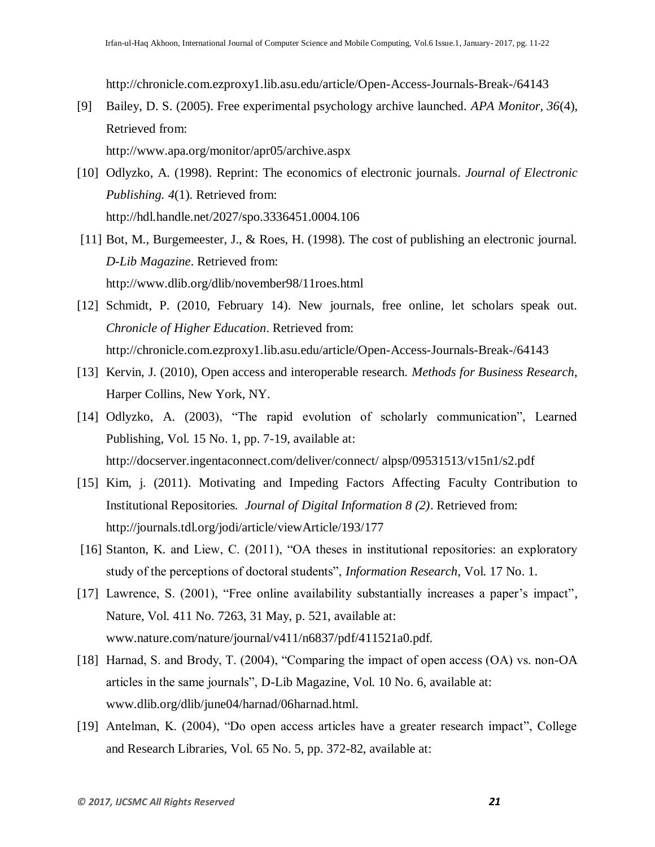http://chronicle.com.ezproxy1.lib.asu.edu/article/Open-Access-Journals-Break-/64143

[9] Bailey, D. S. (2005). Free experimental psychology archive launched. *APA Monitor, 36*(4), Retrieved from:

http://www.apa.org/monitor/apr05/archive.aspx

- [10] Odlyzko, A. (1998). Reprint: The economics of electronic journals*. Journal of Electronic Publishing. 4*(1). Retrieved from: http://hdl.handle.net/2027/spo.3336451.0004.106
- [11] Bot, M., Burgemeester, J., & Roes, H. (1998). The cost of publishing an electronic journal. *D-Lib Magazine*. Retrieved from: http://www.dlib.org/dlib/november98/11roes.html
- [12] Schmidt, P. (2010, February 14). New journals, free online, let scholars speak out. *Chronicle of Higher Education*. Retrieved from: http://chronicle.com.ezproxy1.lib.asu.edu/article/Open-Access-Journals-Break-/64143
- [13] Kervin, J. (2010), Open access and interoperable research. *Methods for Business Research*, Harper Collins, New York, NY.
- [14] Odlyzko, A. (2003), "The rapid evolution of scholarly communication", Learned Publishing, Vol. 15 No. 1, pp. 7-19, available at: http://docserver.ingentaconnect.com/deliver/connect/ alpsp/09531513/v15n1/s2.pdf
- [15] Kim, j. (2011). Motivating and Impeding Factors Affecting Faculty Contribution to Institutional Repositories*. Journal of Digital Information 8 (2)*. Retrieved from: <http://journals.tdl.org/jodi/article/viewArticle/193/177>
- [16] Stanton, K. and Liew, C. (2011), "OA theses in institutional repositories: an exploratory study of the perceptions of doctoral students", *Information Research*, Vol. 17 No. 1.
- [17] Lawrence, S. (2001), "Free online availability substantially increases a paper's impact", Nature, Vol. 411 No. 7263, 31 May, p. 521, available at: www.nature.com/nature/journal/v411/n6837/pdf/411521a0.pdf.
- [18] Harnad, S. and Brody, T. (2004), "Comparing the impact of open access (OA) vs. non-OA articles in the same journals", D-Lib Magazine, Vol. 10 No. 6, available at: www.dlib.org/dlib/june04/harnad/06harnad.html.
- [19] Antelman, K. (2004), "Do open access articles have a greater research impact", College and Research Libraries, Vol. 65 No. 5, pp. 372-82, available at: